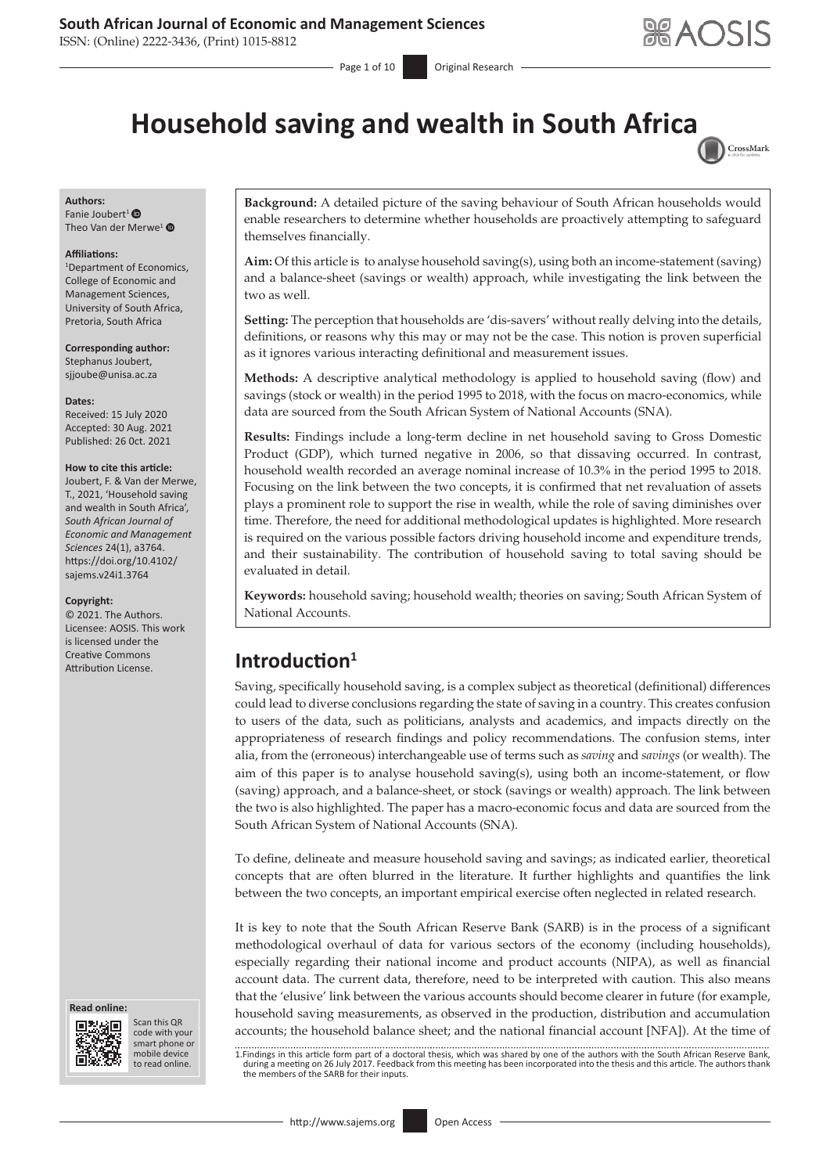## **South African Journal of Economic and Management Sciences**

ISSN: (Online) 2222-3436, (Print) 1015-8812

Page 1 of 10 **Original Research** 



# **Household saving and wealth in South Afric[a](http://crossmark.crossref.org/dialog/?doi=10.4102/sajems.v24i1.3764=pdf&date_stamp=2021-10-26)**



### **Authors:**

Fanie Joubert<sup>1</sup> $\bullet$ Theo Van der Merwe<sup>[1](https://orcid.org/0000-0001-7802-8335)</sup> $\bullet$ 

#### **Affiliations:**

1 Department of Economics, College of Economic and Management Sciences, University of South Africa, Pretoria, South Africa

**Corresponding author:** Stephanus Joubert, [sjjoube@unisa.ac.za](mailto:sjjoube@unisa.ac.za)

#### **Dates:**

Received: 15 July 2020 Accepted: 30 Aug. 2021 Published: 26 0ct. 2021

#### **How to cite this article:**

Joubert, F. & Van der Merwe, T., 2021, 'Household saving and wealth in South Africa', *South African Journal of Economic and Management Sciences* 24(1), a3764. [https://doi.org/10.4102/](https://doi.org/10.4102/sajems.v24i1.3764) [sajems.v24i1.3764](https://doi.org/10.4102/sajems.v24i1.3764)

#### **Copyright:**

© 2021. The Authors. Licensee: AOSIS. This work is licensed under the Creative Commons Attribution License. **Introduction<sup>1</sup>**





Scan this QR code with your Scan this QR<br>code with your<br>smart phone or<br>mobile device mobile device to read online. to read online.

**Background:** A detailed picture of the saving behaviour of South African households would enable researchers to determine whether households are proactively attempting to safeguard themselves financially.

**Aim:** Of this article is to analyse household saving(s), using both an income-statement (saving) and a balance-sheet (savings or wealth) approach, while investigating the link between the two as well.

**Setting:** The perception that households are 'dis-savers' without really delving into the details, definitions, or reasons why this may or may not be the case. This notion is proven superficial as it ignores various interacting definitional and measurement issues.

**Methods:** A descriptive analytical methodology is applied to household saving (flow) and savings (stock or wealth) in the period 1995 to 2018, with the focus on macro-economics, while data are sourced from the South African System of National Accounts (SNA).

**Results:** Findings include a long-term decline in net household saving to Gross Domestic Product (GDP), which turned negative in 2006, so that dissaving occurred. In contrast, household wealth recorded an average nominal increase of 10.3% in the period 1995 to 2018. Focusing on the link between the two concepts, it is confirmed that net revaluation of assets plays a prominent role to support the rise in wealth, while the role of saving diminishes over time. Therefore, the need for additional methodological updates is highlighted. More research is required on the various possible factors driving household income and expenditure trends, and their sustainability. The contribution of household saving to total saving should be evaluated in detail.

**Keywords:** household saving; household wealth; theories on saving; South African System of National Accounts.

Saving, specifically household saving, is a complex subject as theoretical (definitional) differences could lead to diverse conclusions regarding the state of saving in a country. This creates confusion to users of the data, such as politicians, analysts and academics, and impacts directly on the appropriateness of research findings and policy recommendations. The confusion stems, inter alia, from the (erroneous) interchangeable use of terms such as *saving* and *savings* (or wealth). The aim of this paper is to analyse household saving(s), using both an income-statement, or flow (saving) approach, and a balance-sheet, or stock (savings or wealth) approach. The link between the two is also highlighted. The paper has a macro-economic focus and data are sourced from the South African System of National Accounts (SNA).

To define, delineate and measure household saving and savings; as indicated earlier, theoretical concepts that are often blurred in the literature. It further highlights and quantifies the link between the two concepts, an important empirical exercise often neglected in related research.

It is key to note that the South African Reserve Bank (SARB) is in the process of a significant methodological overhaul of data for various sectors of the economy (including households), especially regarding their national income and product accounts (NIPA), as well as financial account data. The current data, therefore, need to be interpreted with caution. This also means that the 'elusive' link between the various accounts should become clearer in future (for example, household saving measurements, as observed in the production, distribution and accumulation accounts; the household balance sheet; and the national financial account [NFA]). At the time of

1.Findings in this article form part of a doctoral thesis, which was shared by one of the authors with the South African Reserve Bank,<br>during a meeting on 26 July 2017. Feedback from this meeting has been incorporated into the members of the SARB for their inputs.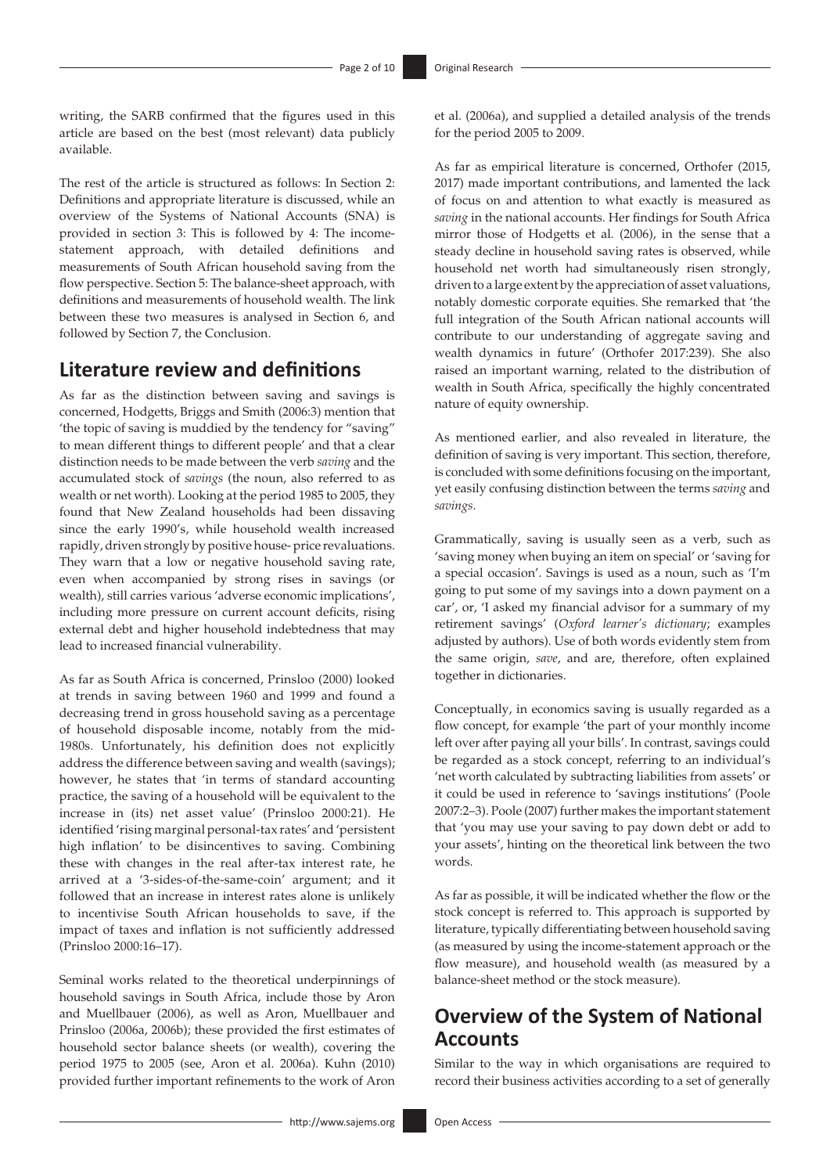writing, the SARB confirmed that the figures used in this article are based on the best (most relevant) data publicly available.

The rest of the article is structured as follows: In Section 2: Definitions and appropriate literature is discussed, while an overview of the Systems of National Accounts (SNA) is provided in section 3: This is followed by 4: The incomestatement approach, with detailed definitions and measurements of South African household saving from the flow perspective. Section 5: The balance-sheet approach, with definitions and measurements of household wealth. The link between these two measures is analysed in Section 6, and followed by Section 7, the Conclusion.

## **Literature review and definitions**

As far as the distinction between saving and savings is concerned, Hodgetts, Briggs and Smith (2006:3) mention that 'the topic of saving is muddied by the tendency for "saving" to mean different things to different people' and that a clear distinction needs to be made between the verb *saving* and the accumulated stock of *savings* (the noun, also referred to as wealth or net worth). Looking at the period 1985 to 2005, they found that New Zealand households had been dissaving since the early 1990's, while household wealth increased rapidly, driven strongly by positive house- price revaluations. They warn that a low or negative household saving rate, even when accompanied by strong rises in savings (or wealth), still carries various 'adverse economic implications', including more pressure on current account deficits, rising external debt and higher household indebtedness that may lead to increased financial vulnerability.

As far as South Africa is concerned, Prinsloo (2000) looked at trends in saving between 1960 and 1999 and found a decreasing trend in gross household saving as a percentage of household disposable income, notably from the mid-1980s. Unfortunately, his definition does not explicitly address the difference between saving and wealth (savings); however, he states that 'in terms of standard accounting practice, the saving of a household will be equivalent to the increase in (its) net asset value' (Prinsloo 2000:21). He identified 'rising marginal personal-tax rates' and 'persistent high inflation' to be disincentives to saving. Combining these with changes in the real after-tax interest rate, he arrived at a '3-sides-of-the-same-coin' argument; and it followed that an increase in interest rates alone is unlikely to incentivise South African households to save, if the impact of taxes and inflation is not sufficiently addressed (Prinsloo 2000:16–17).

Seminal works related to the theoretical underpinnings of household savings in South Africa, include those by Aron and Muellbauer (2006), as well as Aron, Muellbauer and Prinsloo (2006a, 2006b); these provided the first estimates of household sector balance sheets (or wealth), covering the period 1975 to 2005 (see, Aron et al. 2006a). Kuhn (2010) provided further important refinements to the work of Aron

et al. (2006a), and supplied a detailed analysis of the trends for the period 2005 to 2009.

As far as empirical literature is concerned, Orthofer (2015, 2017) made important contributions, and lamented the lack of focus on and attention to what exactly is measured as *saving* in the national accounts. Her findings for South Africa mirror those of Hodgetts et al. (2006), in the sense that a steady decline in household saving rates is observed, while household net worth had simultaneously risen strongly, driven to a large extent by the appreciation of asset valuations, notably domestic corporate equities. She remarked that 'the full integration of the South African national accounts will contribute to our understanding of aggregate saving and wealth dynamics in future' (Orthofer 2017:239). She also raised an important warning, related to the distribution of wealth in South Africa, specifically the highly concentrated nature of equity ownership.

As mentioned earlier, and also revealed in literature, the definition of saving is very important. This section, therefore, is concluded with some definitions focusing on the important, yet easily confusing distinction between the terms *saving* and *savings*.

Grammatically, saving is usually seen as a verb, such as 'saving money when buying an item on special' or 'saving for a special occasion'. Savings is used as a noun, such as 'I'm going to put some of my savings into a down payment on a car', or, 'I asked my financial advisor for a summary of my retirement savings' (*Oxford learner's dictionary*; examples adjusted by authors). Use of both words evidently stem from the same origin, *save*, and are, therefore, often explained together in dictionaries.

Conceptually, in economics saving is usually regarded as a flow concept, for example 'the part of your monthly income left over after paying all your bills'. In contrast, savings could be regarded as a stock concept, referring to an individual's 'net worth calculated by subtracting liabilities from assets' or it could be used in reference to 'savings institutions' (Poole 2007:2–3). Poole (2007) further makes the important statement that 'you may use your saving to pay down debt or add to your assets', hinting on the theoretical link between the two words.

As far as possible, it will be indicated whether the flow or the stock concept is referred to. This approach is supported by literature, typically differentiating between household saving (as measured by using the income-statement approach or the flow measure), and household wealth (as measured by a balance-sheet method or the stock measure).

## **Overview of the System of National Accounts**

Similar to the way in which organisations are required to record their business activities according to a set of generally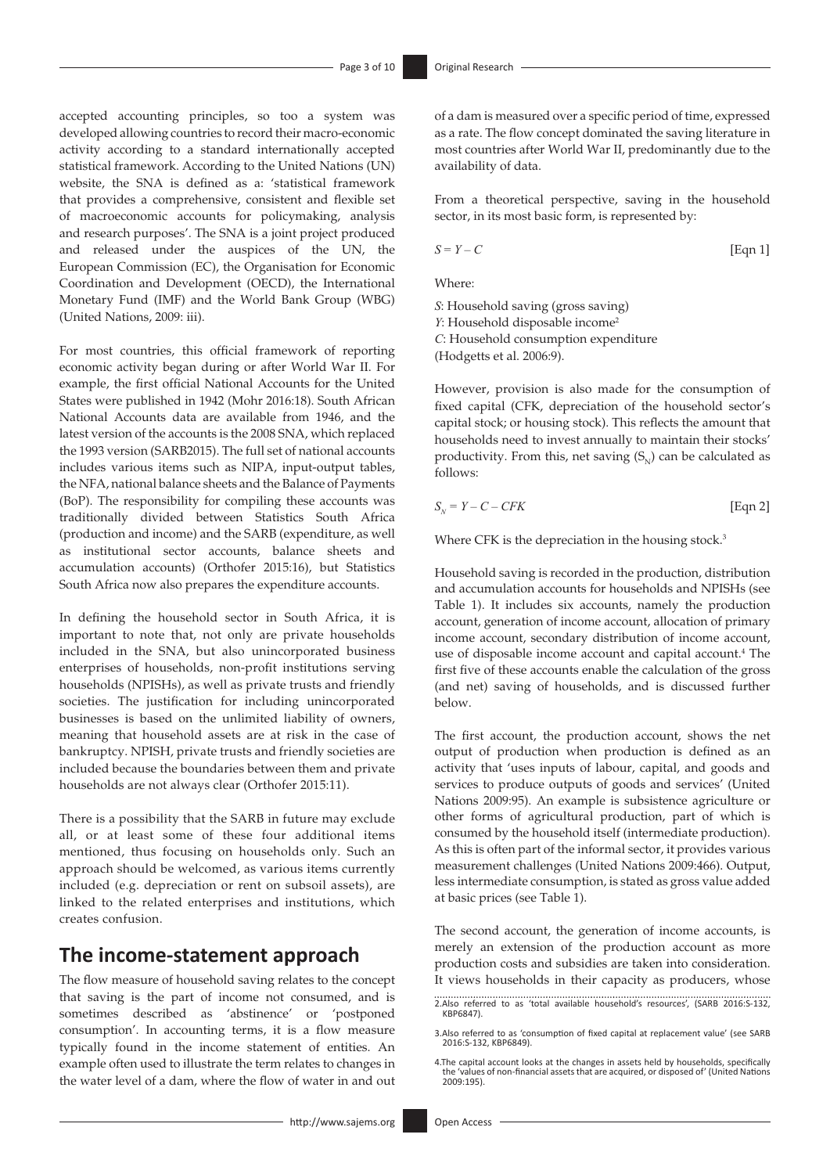accepted accounting principles, so too a system was developed allowing countries to record their macro-economic activity according to a standard internationally accepted statistical framework. According to the United Nations (UN) website, the SNA is defined as a: 'statistical framework that provides a comprehensive, consistent and flexible set of macroeconomic accounts for policymaking, analysis and research purposes'. The SNA is a joint project produced and released under the auspices of the UN, the European Commission (EC), the Organisation for Economic Coordination and Development (OECD), the International Monetary Fund (IMF) and the World Bank Group (WBG) (United Nations, 2009: iii).

For most countries, this official framework of reporting economic activity began during or after World War II. For example, the first official National Accounts for the United States were published in 1942 (Mohr 2016:18). South African National Accounts data are available from 1946, and the latest version of the accounts is the 2008 SNA, which replaced the 1993 version (SARB2015). The full set of national accounts includes various items such as NIPA, input-output tables, the NFA, national balance sheets and the Balance of Payments (BoP). The responsibility for compiling these accounts was traditionally divided between Statistics South Africa (production and income) and the SARB (expenditure, as well as institutional sector accounts, balance sheets and accumulation accounts) (Orthofer 2015:16), but Statistics South Africa now also prepares the expenditure accounts.

In defining the household sector in South Africa, it is important to note that, not only are private households included in the SNA, but also unincorporated business enterprises of households, non-profit institutions serving households (NPISHs), as well as private trusts and friendly societies. The justification for including unincorporated businesses is based on the unlimited liability of owners, meaning that household assets are at risk in the case of bankruptcy. NPISH, private trusts and friendly societies are included because the boundaries between them and private households are not always clear (Orthofer 2015:11).

There is a possibility that the SARB in future may exclude all, or at least some of these four additional items mentioned, thus focusing on households only. Such an approach should be welcomed, as various items currently included (e.g. depreciation or rent on subsoil assets), are linked to the related enterprises and institutions, which creates confusion.

## **The income-statement approach**

The flow measure of household saving relates to the concept that saving is the part of income not consumed, and is sometimes described as 'abstinence' or 'postponed consumption'. In accounting terms, it is a flow measure typically found in the income statement of entities. An example often used to illustrate the term relates to changes in the water level of a dam, where the flow of water in and out of a dam is measured over a specific period of time, expressed as a rate. The flow concept dominated the saving literature in most countries after World War II, predominantly due to the availability of data.

From a theoretical perspective, saving in the household sector, in its most basic form, is represented by:

$$
S = Y - C \tag{Eqn 1}
$$

Where:

*S*: Household saving (gross saving) *Y*: Household disposable income<sup>2</sup> *C*: Household consumption expenditure (Hodgetts et al. 2006:9).

However, provision is also made for the consumption of fixed capital (CFK, depreciation of the household sector's capital stock; or housing stock). This reflects the amount that households need to invest annually to maintain their stocks' productivity. From this, net saving  $(S_{N})$  can be calculated as follows:

$$
S_N = Y - C - CFK \tag{Eqn 2}
$$

Where CFK is the depreciation in the housing stock.<sup>3</sup>

Household saving is recorded in the production, distribution and accumulation accounts for households and NPISHs (see Table 1). It includes six accounts, namely the production account, generation of income account, allocation of primary income account, secondary distribution of income account, use of disposable income account and capital account.<sup>4</sup> The first five of these accounts enable the calculation of the gross (and net) saving of households, and is discussed further below.

The first account, the production account, shows the net output of production when production is defined as an activity that 'uses inputs of labour, capital, and goods and services to produce outputs of goods and services' (United Nations 2009:95). An example is subsistence agriculture or other forms of agricultural production, part of which is consumed by the household itself (intermediate production). As this is often part of the informal sector, it provides various measurement challenges (United Nations 2009:466). Output, less intermediate consumption, is stated as gross value added at basic prices (see Table 1).

The second account, the generation of income accounts, is merely an extension of the production account as more production costs and subsidies are taken into consideration. It views households in their capacity as producers, whose

<sup>2.</sup>Also referred to as 'total available household's resources', (SARB 2016:S-132, KBP6847).

<sup>3.</sup>Also referred to as 'consumption of fixed capital at replacement value' (see SARB 2016:S-132, KBP6849).

<sup>4.</sup>The capital account looks at the changes in assets held by households, specifically the 'values of non-financial assets that are acquired, or disposed of' (United Nations 2009:195).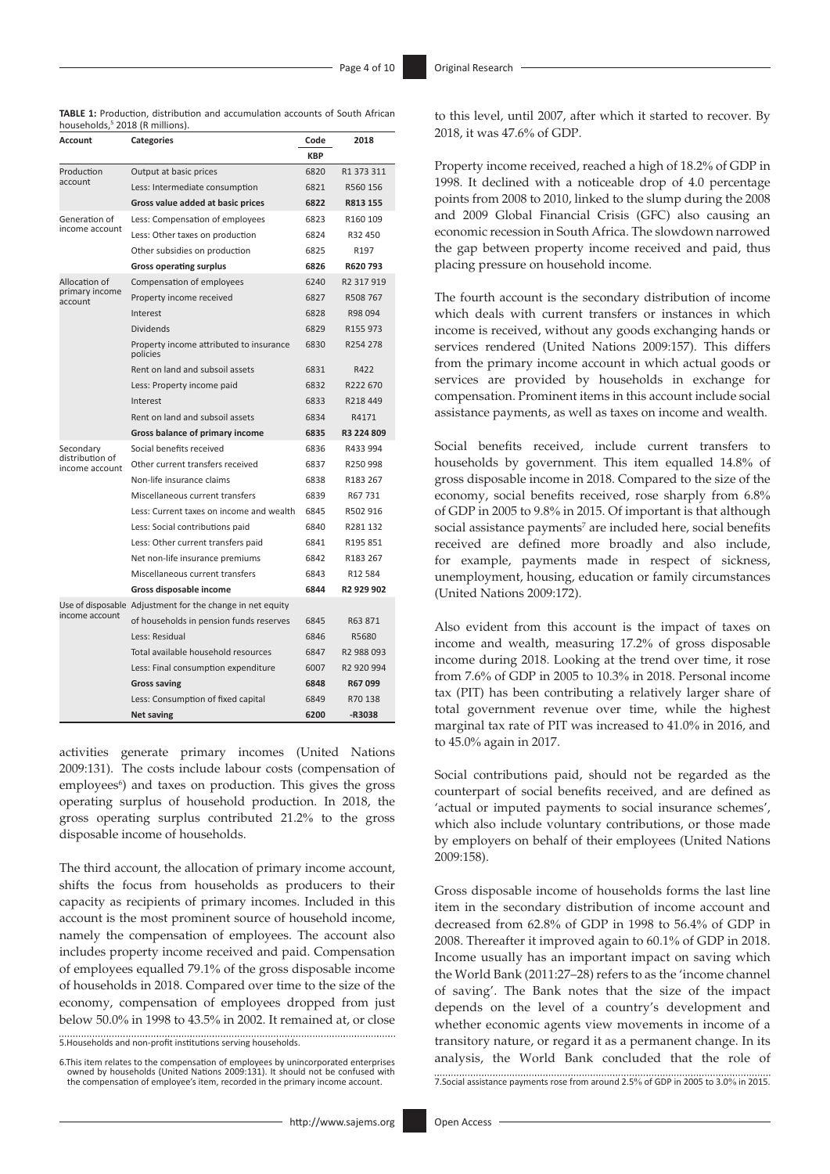| <b>TABLE 1:</b> Production, distribution and accumulation accounts of South African |  |  |  |  |
|-------------------------------------------------------------------------------------|--|--|--|--|
| households, <sup>5</sup> 2018 (R millions).                                         |  |  |  |  |

| Account                           | <b>Categories</b>                                         | Code       | 2018                 |  |
|-----------------------------------|-----------------------------------------------------------|------------|----------------------|--|
|                                   |                                                           | <b>KBP</b> |                      |  |
| Production                        | Output at basic prices                                    | 6820       | R1 373 311           |  |
| account                           | Less: Intermediate consumption                            |            | R560 156             |  |
|                                   | Gross value added at basic prices                         |            | R813 155             |  |
| Generation of                     | Less: Compensation of employees                           |            | R160 109             |  |
| income account                    | Less: Other taxes on production                           |            | R32 450              |  |
|                                   | Other subsidies on production                             | 6825       | R197                 |  |
|                                   | <b>Gross operating surplus</b>                            |            | R620793              |  |
| Allocation of                     | Compensation of employees                                 | 6240       | R2 317 919           |  |
| primary income<br>account         | Property income received                                  | 6827       | R508 767             |  |
|                                   | Interest                                                  | 6828       | R98 094              |  |
|                                   | <b>Dividends</b>                                          | 6829       | R <sub>155</sub> 973 |  |
|                                   | Property income attributed to insurance<br>policies       | 6830       | R254 278             |  |
|                                   | Rent on land and subsoil assets                           | 6831       | R422                 |  |
|                                   | Less: Property income paid                                | 6832       | R222 670             |  |
|                                   | Interest                                                  | 6833       | R218 449             |  |
|                                   | Rent on land and subsoil assets                           | 6834       | R4171                |  |
|                                   | Gross balance of primary income                           | 6835       | R3 224 809           |  |
| Secondary                         | Social benefits received                                  | 6836       | R433 994             |  |
| distribution of<br>income account | Other current transfers received                          | 6837       | R250 998             |  |
|                                   | Non-life insurance claims                                 | 6838       | R183 267             |  |
|                                   | Miscellaneous current transfers                           | 6839       | R67 731              |  |
|                                   | Less: Current taxes on income and wealth                  | 6845       | R502 916             |  |
|                                   | Less: Social contributions paid                           | 6840       | R281 132             |  |
|                                   | Less: Other current transfers paid                        | 6841       | R195 851             |  |
|                                   | Net non-life insurance premiums                           | 6842       | R183 267             |  |
|                                   | Miscellaneous current transfers                           | 6843       | R12 584              |  |
|                                   | Gross disposable income                                   | 6844       | R2 929 902           |  |
|                                   | Use of disposable Adjustment for the change in net equity |            |                      |  |
| income account                    | of households in pension funds reserves                   | 6845       | R63871               |  |
|                                   | Less: Residual                                            | 6846       | R5680                |  |
|                                   | Total available household resources                       | 6847       | R2 988 093           |  |
|                                   | Less: Final consumption expenditure                       | 6007       | R2 920 994           |  |
|                                   | <b>Gross saving</b>                                       | 6848       | R67099               |  |
|                                   | Less: Consumption of fixed capital                        | 6849       | R70 138              |  |
|                                   | <b>Net saving</b>                                         | 6200       | -R3038               |  |

activities generate primary incomes (United Nations 2009:131). The costs include labour costs (compensation of employees<sup>6</sup>) and taxes on production. This gives the gross operating surplus of household production. In 2018, the gross operating surplus contributed 21.2% to the gross disposable income of households.

The third account, the allocation of primary income account, shifts the focus from households as producers to their capacity as recipients of primary incomes. Included in this account is the most prominent source of household income, namely the compensation of employees. The account also includes property income received and paid. Compensation of employees equalled 79.1% of the gross disposable income of households in 2018. Compared over time to the size of the economy, compensation of employees dropped from just below 50.0% in 1998 to 43.5% in 2002. It remained at, or close

5.Households and non-profit institutions serving households.

6.This item relates to the compensation of employees by unincorporated enterprises owned by households (United Nations 2009:131). It should not be confused with the compensation of employee's item, recorded in the primary income account. Property income received, reached a high of 18.2% of GDP in 1998. It declined with a noticeable drop of 4.0 percentage points from 2008 to 2010, linked to the slump during the 2008 and 2009 Global Financial Crisis (GFC) also causing an economic recession in South Africa. The slowdown narrowed the gap between property income received and paid, thus placing pressure on household income.

The fourth account is the secondary distribution of income which deals with current transfers or instances in which income is received, without any goods exchanging hands or services rendered (United Nations 2009:157). This differs from the primary income account in which actual goods or services are provided by households in exchange for compensation. Prominent items in this account include social assistance payments, as well as taxes on income and wealth.

Social benefits received, include current transfers to households by government. This item equalled 14.8% of gross disposable income in 2018. Compared to the size of the economy, social benefits received, rose sharply from 6.8% of GDP in 2005 to 9.8% in 2015. Of important is that although social assistance payments<sup>7</sup> are included here, social benefits received are defined more broadly and also include, for example, payments made in respect of sickness, unemployment, housing, education or family circumstances (United Nations 2009:172).

Also evident from this account is the impact of taxes on income and wealth, measuring 17.2% of gross disposable income during 2018. Looking at the trend over time, it rose from 7.6% of GDP in 2005 to 10.3% in 2018. Personal income tax (PIT) has been contributing a relatively larger share of total government revenue over time, while the highest marginal tax rate of PIT was increased to 41.0% in 2016, and to 45.0% again in 2017.

Social contributions paid, should not be regarded as the counterpart of social benefits received, and are defined as 'actual or imputed payments to social insurance schemes', which also include voluntary contributions, or those made by employers on behalf of their employees (United Nations 2009:158).

Gross disposable income of households forms the last line item in the secondary distribution of income account and decreased from 62.8% of GDP in 1998 to 56.4% of GDP in 2008. Thereafter it improved again to 60.1% of GDP in 2018. Income usually has an important impact on saving which the World Bank (2011:27–28) refers to as the 'income channel of saving'. The Bank notes that the size of the impact depends on the level of a country's development and whether economic agents view movements in income of a transitory nature, or regard it as a permanent change. In its analysis, the World Bank concluded that the role of 7.Social assistance payments rose from around 2.5% of GDP in 2005 to 3.0% in 2015.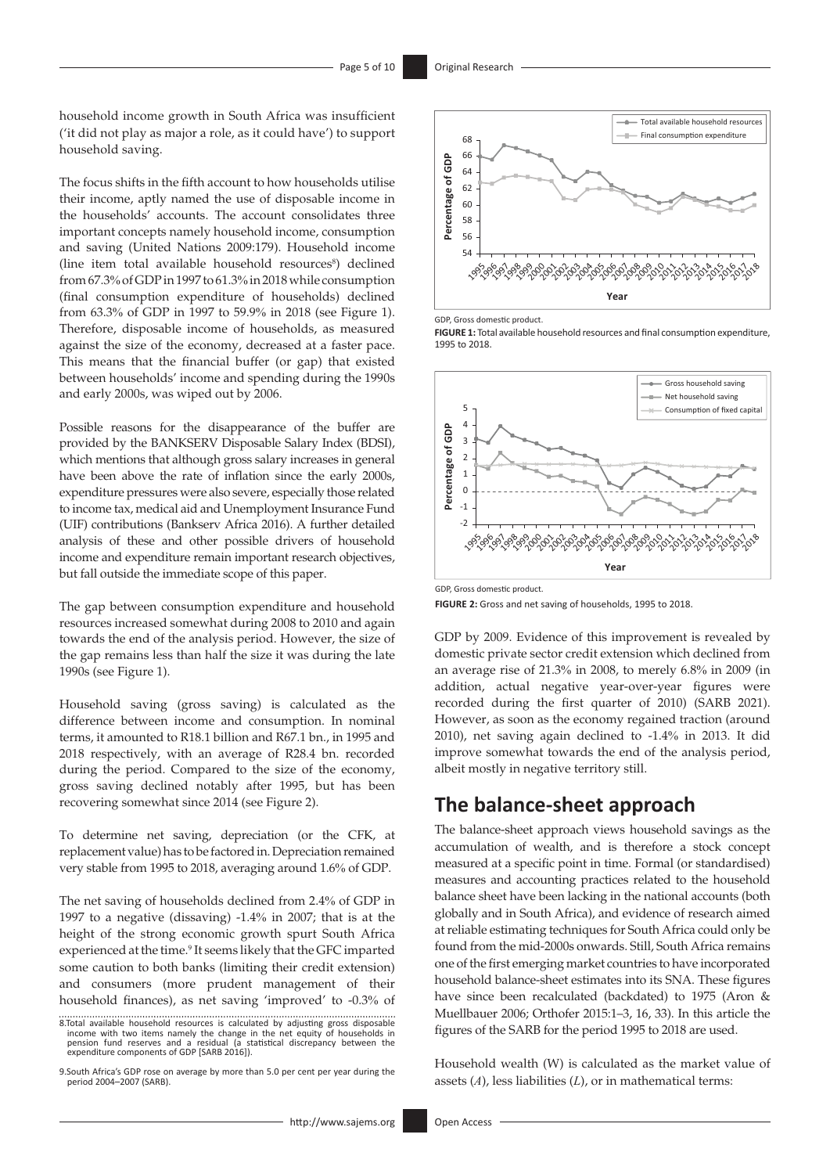household income growth in South Africa was insufficient ('it did not play as major a role, as it could have') to support household saving.

The focus shifts in the fifth account to how households utilise their income, aptly named the use of disposable income in the households' accounts. The account consolidates three important concepts namely household income, consumption and saving (United Nations 2009:179). Household income (line item total available household resources<sup>8</sup>) declined from 67.3% of GDP in 1997 to 61.3% in 2018 while consumption (final consumption expenditure of households) declined from 63.3% of GDP in 1997 to 59.9% in 2018 (see Figure 1). Therefore, disposable income of households, as measured against the size of the economy, decreased at a faster pace. This means that the financial buffer (or gap) that existed between households' income and spending during the 1990s and early 2000s, was wiped out by 2006.

Possible reasons for the disappearance of the buffer are provided by the BANKSERV Disposable Salary Index (BDSI), which mentions that although gross salary increases in general have been above the rate of inflation since the early 2000s, expenditure pressures were also severe, especially those related to income tax, medical aid and Unemployment Insurance Fund (UIF) contributions (Bankserv Africa 2016). A further detailed analysis of these and other possible drivers of household income and expenditure remain important research objectives, but fall outside the immediate scope of this paper.

The gap between consumption expenditure and household resources increased somewhat during 2008 to 2010 and again towards the end of the analysis period. However, the size of the gap remains less than half the size it was during the late 1990s (see Figure 1).

Household saving (gross saving) is calculated as the difference between income and consumption. In nominal terms, it amounted to R18.1 billion and R67.1 bn., in 1995 and 2018 respectively, with an average of R28.4 bn. recorded during the period. Compared to the size of the economy, gross saving declined notably after 1995, but has been recovering somewhat since 2014 (see Figure 2).

To determine net saving, depreciation (or the CFK, at replacement value) has to be factored in. Depreciation remained very stable from 1995 to 2018, averaging around 1.6% of GDP.

The net saving of households declined from 2.4% of GDP in 1997 to a negative (dissaving) -1.4% in 2007; that is at the height of the strong economic growth spurt South Africa experienced at the time.<sup>9</sup> It seems likely that the GFC imparted some caution to both banks (limiting their credit extension) and consumers (more prudent management of their household finances), as net saving 'improved' to -0.3% of

8.Total available household resources is calculated by adjusting gross disposable income with two items namely the change in the net equity of households in pension fund reserves and a residual (a statistical discrepancy between the expenditure components of GDP [SARB 2016]).

9.South Africa's GDP rose on average by more than 5.0 per cent per year during the period 2004–2007 (SARB).



GDP, Gross domestic product.

**FIGURE 1:** Total available household resources and final consumption expenditure, 1995 to 2018.



GDP, Gross domestic product.

**FIGURE 2:** Gross and net saving of households, 1995 to 2018.

GDP by 2009. Evidence of this improvement is revealed by domestic private sector credit extension which declined from an average rise of 21.3% in 2008, to merely 6.8% in 2009 (in addition, actual negative year-over-year figures were recorded during the first quarter of 2010) (SARB 2021). However, as soon as the economy regained traction (around 2010), net saving again declined to -1.4% in 2013. It did improve somewhat towards the end of the analysis period, albeit mostly in negative territory still.

## **The balance-sheet approach**

The balance-sheet approach views household savings as the accumulation of wealth, and is therefore a stock concept measured at a specific point in time. Formal (or standardised) measures and accounting practices related to the household balance sheet have been lacking in the national accounts (both globally and in South Africa), and evidence of research aimed at reliable estimating techniques for South Africa could only be found from the mid-2000s onwards. Still, South Africa remains one of the first emerging market countries to have incorporated household balance-sheet estimates into its SNA. These figures have since been recalculated (backdated) to 1975 (Aron & Muellbauer 2006; Orthofer 2015:1–3, 16, 33). In this article the figures of the SARB for the period 1995 to 2018 are used.

Household wealth (W) is calculated as the market value of assets (*A*), less liabilities (*L*), or in mathematical terms: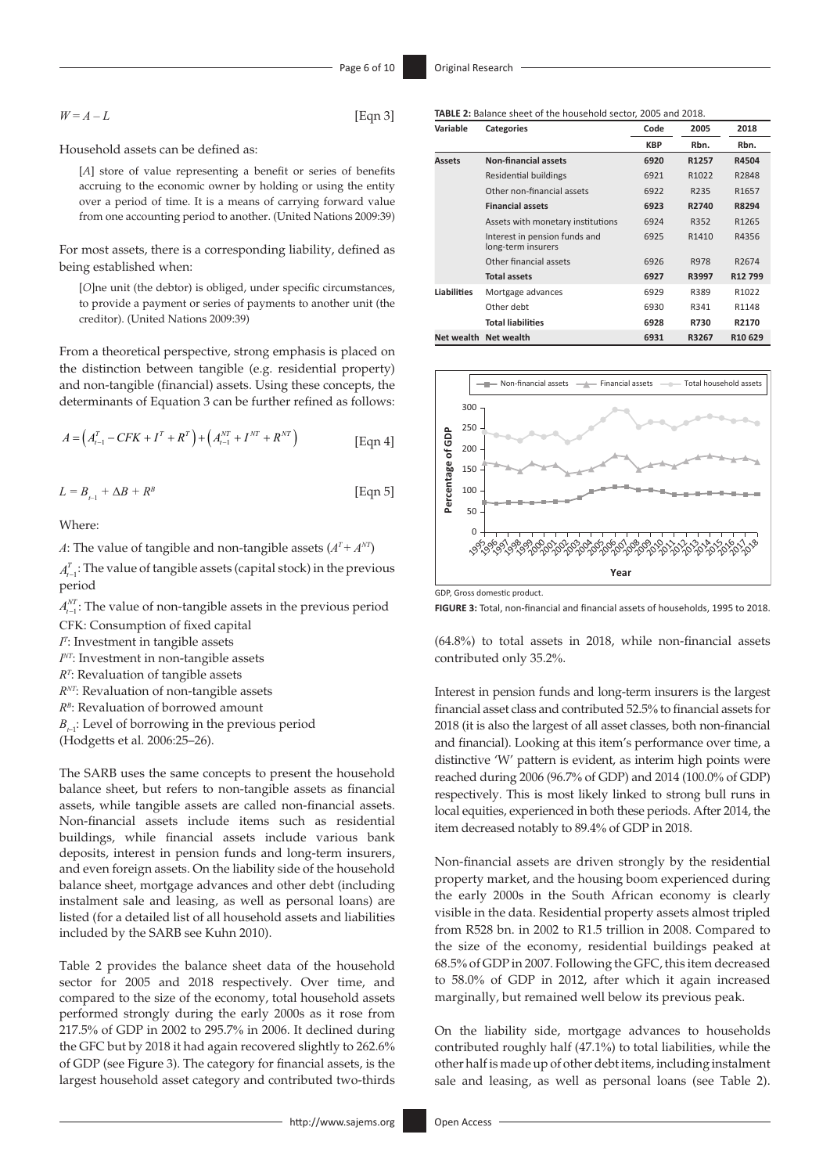$W = A - L$  [Eqn 3]

Household assets can be defined as:

[*A*] store of value representing a benefit or series of benefits accruing to the economic owner by holding or using the entity over a period of time. It is a means of carrying forward value from one accounting period to another. (United Nations 2009:39)

For most assets, there is a corresponding liability, defined as being established when:

[*O*]ne unit (the debtor) is obliged, under specific circumstances, to provide a payment or series of payments to another unit (the creditor). (United Nations 2009:39)

From a theoretical perspective, strong emphasis is placed on the distinction between tangible (e.g. residential property) and non-tangible (financial) assets. Using these concepts, the determinants of Equation 3 can be further refined as follows:

$$
A = \left(A_{t-1}^T - CFK + I^T + R^T\right) + \left(A_{t-1}^{NT} + I^{NT} + R^{NT}\right)
$$
 [Eqn 4]

$$
L = B_{t-1} + \Delta B + R^B \tag{Eqn 5}
$$

Where:

*A*: The value of tangible and non-tangible assets  $(A<sup>T</sup> + A<sup>NT</sup>)$ 

 $A_{t-1}^T$ : The value of tangible assets (capital stock) in the previous period

 $A_{t-1}^{NT}$ : The value of non-tangible assets in the previous period

CFK: Consumption of fixed capital

*IT* : Investment in tangible assets

*INT*: Investment in non-tangible assets

*RT* : Revaluation of tangible assets

*RNT*: Revaluation of non-tangible assets

*RB*: Revaluation of borrowed amount

 $B_{\epsilon,1}$ : Level of borrowing in the previous period

(Hodgetts et al. 2006:25–26).

The SARB uses the same concepts to present the household balance sheet, but refers to non-tangible assets as financial assets, while tangible assets are called non-financial assets. Non-financial assets include items such as residential buildings, while financial assets include various bank deposits, interest in pension funds and long-term insurers, and even foreign assets. On the liability side of the household balance sheet, mortgage advances and other debt (including instalment sale and leasing, as well as personal loans) are listed (for a detailed list of all household assets and liabilities included by the SARB see Kuhn 2010).

Table 2 provides the balance sheet data of the household sector for 2005 and 2018 respectively. Over time, and compared to the size of the economy, total household assets performed strongly during the early 2000s as it rose from 217.5% of GDP in 2002 to 295.7% in 2006. It declined during the GFC but by 2018 it had again recovered slightly to 262.6% of GDP (see Figure 3). The category for financial assets, is the largest household asset category and contributed two-thirds

| Variable           | <b>Categories</b>                                   | Code       |       | 2018                |
|--------------------|-----------------------------------------------------|------------|-------|---------------------|
|                    |                                                     | <b>KBP</b> | Rbn.  | Rbn.                |
| <b>Assets</b>      | <b>Non-financial assets</b>                         | 6920       | R1257 | R4504               |
|                    | <b>Residential buildings</b>                        | 6921       | R1022 | R2848               |
|                    | Other non-financial assets                          | 6922       | R235  | R1657               |
|                    | <b>Financial assets</b>                             | 6923       | R2740 | R8294               |
|                    | Assets with monetary institutions                   | 6924       | R352  | R1265               |
|                    | Interest in pension funds and<br>long-term insurers | 6925       | R1410 | R4356               |
|                    | Other financial assets                              | 6926       | R978  | R2674               |
|                    | <b>Total assets</b>                                 | 6927       | R3997 | R <sub>12</sub> 799 |
| <b>Liabilities</b> | Mortgage advances                                   | 6929       | R389  | R1022               |
|                    | Other debt                                          | 6930       | R341  | R1148               |
|                    | <b>Total liabilities</b>                            | 6928       | R730  | R2170               |

**Net wealth Net wealth 6931 R3267 R10 629**



**TABLE 2:** Balance sheet of the household sector, 2005 and 2018.

GDP, Gross domestic product.

**FIGURE 3:** Total, non-financial and financial assets of households, 1995 to 2018.

(64.8%) to total assets in 2018, while non-financial assets contributed only 35.2%.

Interest in pension funds and long-term insurers is the largest financial asset class and contributed 52.5% to financial assets for 2018 (it is also the largest of all asset classes, both non-financial and financial). Looking at this item's performance over time, a distinctive 'W' pattern is evident, as interim high points were reached during 2006 (96.7% of GDP) and 2014 (100.0% of GDP) respectively. This is most likely linked to strong bull runs in local equities, experienced in both these periods. After 2014, the item decreased notably to 89.4% of GDP in 2018.

Non-financial assets are driven strongly by the residential property market, and the housing boom experienced during the early 2000s in the South African economy is clearly visible in the data. Residential property assets almost tripled from R528 bn. in 2002 to R1.5 trillion in 2008. Compared to the size of the economy, residential buildings peaked at 68.5% of GDP in 2007. Following the GFC, this item decreased to 58.0% of GDP in 2012, after which it again increased marginally, but remained well below its previous peak.

On the liability side, mortgage advances to households contributed roughly half (47.1%) to total liabilities, while the other half is made up of other debt items, including instalment sale and leasing, as well as personal loans (see Table 2).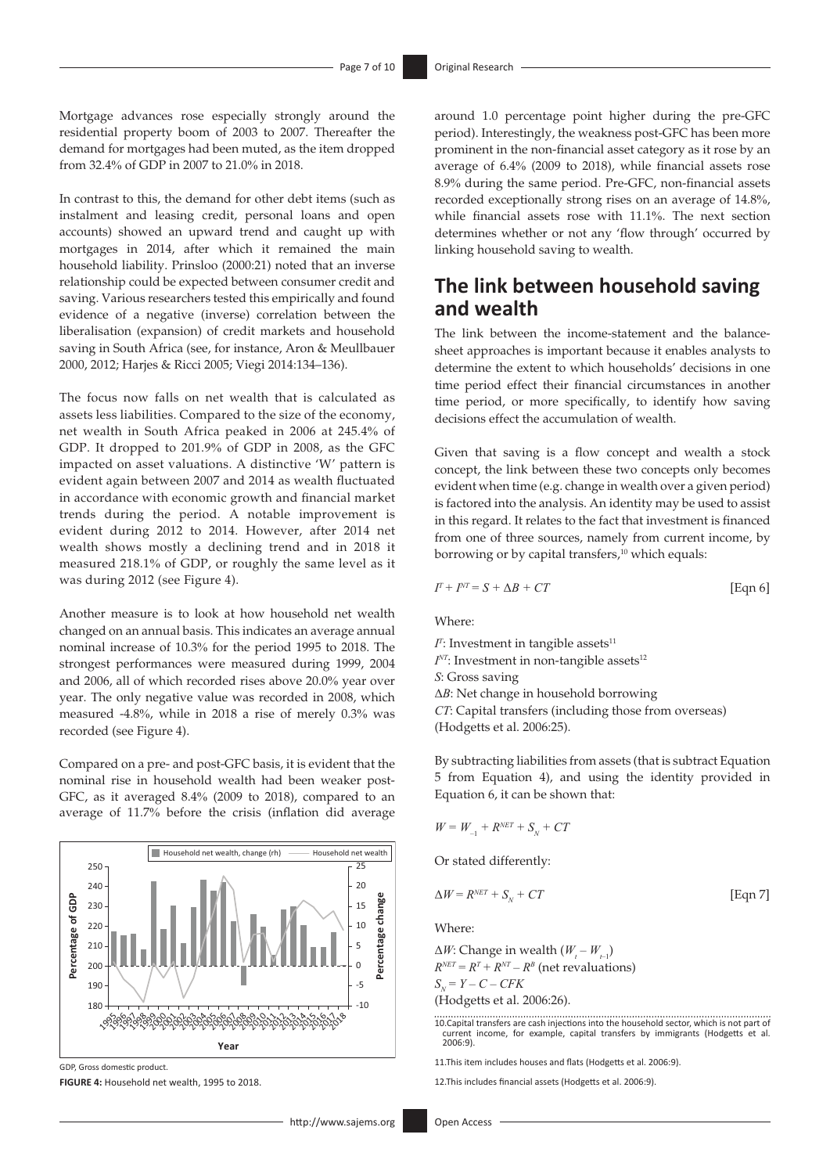Mortgage advances rose especially strongly around the residential property boom of 2003 to 2007. Thereafter the demand for mortgages had been muted, as the item dropped from 32.4% of GDP in 2007 to 21.0% in 2018.

In contrast to this, the demand for other debt items (such as instalment and leasing credit, personal loans and open accounts) showed an upward trend and caught up with mortgages in 2014, after which it remained the main household liability. Prinsloo (2000:21) noted that an inverse relationship could be expected between consumer credit and saving. Various researchers tested this empirically and found evidence of a negative (inverse) correlation between the liberalisation (expansion) of credit markets and household saving in South Africa (see, for instance, Aron & Meullbauer 2000, 2012; Harjes & Ricci 2005; Viegi 2014:134–136).

The focus now falls on net wealth that is calculated as assets less liabilities. Compared to the size of the economy, net wealth in South Africa peaked in 2006 at 245.4% of GDP. It dropped to 201.9% of GDP in 2008, as the GFC impacted on asset valuations. A distinctive 'W' pattern is evident again between 2007 and 2014 as wealth fluctuated in accordance with economic growth and financial market trends during the period. A notable improvement is evident during 2012 to 2014. However, after 2014 net wealth shows mostly a declining trend and in 2018 it measured 218.1% of GDP, or roughly the same level as it was during 2012 (see Figure 4).

Another measure is to look at how household net wealth changed on an annual basis. This indicates an average annual nominal increase of 10.3% for the period 1995 to 2018. The strongest performances were measured during 1999, 2004 and 2006, all of which recorded rises above 20.0% year over year. The only negative value was recorded in 2008, which measured -4.8%, while in 2018 a rise of merely 0.3% was recorded (see Figure 4).

Compared on a pre- and post-GFC basis, it is evident that the nominal rise in household wealth had been weaker post-GFC, as it averaged 8.4% (2009 to 2018), compared to an average of 11.7% before the crisis (inflation did average



GDP, Gross domestic product.

**FIGURE 4:** Household net wealth, 1995 to 2018.

around 1.0 percentage point higher during the pre-GFC period). Interestingly, the weakness post-GFC has been more prominent in the non-financial asset category as it rose by an average of 6.4% (2009 to 2018), while financial assets rose 8.9% during the same period. Pre-GFC, non-financial assets recorded exceptionally strong rises on an average of 14.8%, while financial assets rose with 11.1%. The next section determines whether or not any 'flow through' occurred by linking household saving to wealth.

## **The link between household saving and wealth**

The link between the income-statement and the balancesheet approaches is important because it enables analysts to determine the extent to which households' decisions in one time period effect their financial circumstances in another time period, or more specifically, to identify how saving decisions effect the accumulation of wealth.

Given that saving is a flow concept and wealth a stock concept, the link between these two concepts only becomes evident when time (e.g. change in wealth over a given period) is factored into the analysis. An identity may be used to assist in this regard. It relates to the fact that investment is financed from one of three sources, namely from current income, by borrowing or by capital transfers,<sup>10</sup> which equals:

$$
I^T + I^{NT} = S + \Delta B + CT
$$
 [Eqn 6]

Where:

 $I<sup>T</sup>$ : Investment in tangible assets<sup>11</sup> *I<sup>NT</sup>*: Investment in non-tangible assets<sup>12</sup> *S*: Gross saving Δ*B*: Net change in household borrowing *CT*: Capital transfers (including those from overseas) (Hodgetts et al. 2006:25).

By subtracting liabilities from assets (that is subtract Equation 5 from Equation 4), and using the identity provided in Equation 6, it can be shown that:

$$
W=W_{_{-1}}+R^{\textit{NET}}+S_{_{\textit{N}}}+CT
$$

Or stated differently:

$$
\Delta W = R^{NET} + S_N + CT \tag{Eqn 7}
$$

Where:

 $\Delta W$ : Change in wealth  $(W_t - W_{t-1})$  $R^{NET} = R^T + R^{NT} - R^B$  (net revaluations)

 $S_N = Y - C - CFK$ 

(Hodgetts et al. 2006:26). 

10.Capital transfers are cash injections into the household sector, which is not part of current income, for example, capital transfers by immigrants (Hodgetts et al. 2006:9).

11.This item includes houses and flats (Hodgetts et al. 2006:9).

12.This includes financial assets (Hodgetts et al. 2006:9).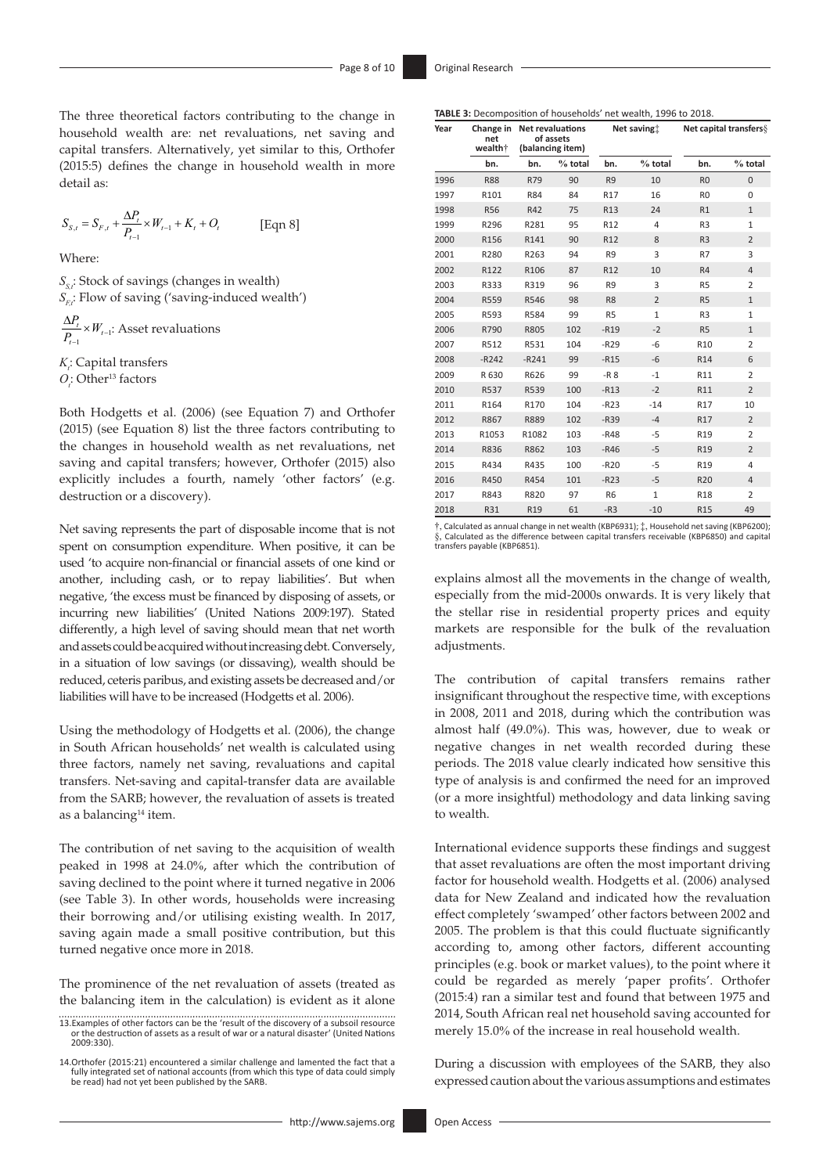The three theoretical factors contributing to the change in household wealth are: net revaluations, net saving and capital transfers. Alternatively, yet similar to this, Orthofer (2015:5) defines the change in household wealth in more detail as:

$$
S_{S,t} = S_{F,t} + \frac{\Delta P_t}{P_{t-1}} \times W_{t-1} + K_t + O_t
$$
 [Eqn 8]

Where:

*S<sub>s</sub>*: Stock of savings (changes in wealth) *S<sub>r</sub>*: Flow of saving ('saving-induced wealth')  $\Delta P_{t}$  $\frac{dI_t}{P_{t-1}} \times W$  $W_{t-1}:$  Asset revaluations

*K*<sub>*i*</sub>: Capital transfers *O*<sub>*i*</sub>: Other<sup>13</sup> factors

Both Hodgetts et al. (2006) (see Equation 7) and Orthofer (2015) (see Equation 8) list the three factors contributing to the changes in household wealth as net revaluations, net saving and capital transfers; however, Orthofer (2015) also explicitly includes a fourth, namely 'other factors' (e.g. destruction or a discovery).

Net saving represents the part of disposable income that is not spent on consumption expenditure. When positive, it can be used 'to acquire non-financial or financial assets of one kind or another, including cash, or to repay liabilities'. But when negative, 'the excess must be financed by disposing of assets, or incurring new liabilities' (United Nations 2009:197). Stated differently, a high level of saving should mean that net worth and assets could be acquired without increasing debt. Conversely, in a situation of low savings (or dissaving), wealth should be reduced, ceteris paribus, and existing assets be decreased and/or liabilities will have to be increased (Hodgetts et al. 2006).

Using the methodology of Hodgetts et al. (2006), the change in South African households' net wealth is calculated using three factors, namely net saving, revaluations and capital transfers. Net-saving and capital-transfer data are available from the SARB; however, the revaluation of assets is treated as a balancing<sup>14</sup> item.

The contribution of net saving to the acquisition of wealth peaked in 1998 at 24.0%, after which the contribution of saving declined to the point where it turned negative in 2006 (see Table 3). In other words, households were increasing their borrowing and/or utilising existing wealth. In 2017, saving again made a small positive contribution, but this turned negative once more in 2018.

The prominence of the net revaluation of assets (treated as the balancing item in the calculation) is evident as it alone

| Year<br>net<br>wealth+ |             | Change in Net revaluations<br>of assets<br>(balancing item) |           | Net saving:     |                | <b>Net capital transfers &amp;</b> |                |
|------------------------|-------------|-------------------------------------------------------------|-----------|-----------------|----------------|------------------------------------|----------------|
|                        | bn.         | bn.                                                         | $%$ total | bn.             | $%$ total      | bn.                                | $%$ total      |
| 1996                   | <b>R88</b>  | R79                                                         | 90        | R <sub>9</sub>  | 10             | R <sub>0</sub>                     | $\overline{0}$ |
| 1997                   | R101        | R84                                                         | 84        | R <sub>17</sub> | 16             | R <sub>0</sub>                     | $\Omega$       |
| 1998                   | <b>R56</b>  | R42                                                         | 75        | R13             | 24             | R1                                 | $\mathbf{1}$   |
| 1999                   | R296        | R281                                                        | 95        | R <sub>12</sub> | 4              | R <sub>3</sub>                     | $\mathbf{1}$   |
| 2000                   | R156        | R141                                                        | 90        | R <sub>12</sub> | 8              | R <sub>3</sub>                     | $\overline{2}$ |
| 2001                   | R280        | R263                                                        | 94        | R <sub>9</sub>  | 3              | R7                                 | 3              |
| 2002                   | R122        | R106                                                        | 87        | R <sub>12</sub> | 10             | R <sub>4</sub>                     | $\overline{4}$ |
| 2003                   | R333        | R319                                                        | 96        | R <sub>9</sub>  | 3              | R <sub>5</sub>                     | $\overline{2}$ |
| 2004                   | R559        | R546                                                        | 98        | R <sub>8</sub>  | $\overline{2}$ | R <sub>5</sub>                     | $\mathbf{1}$   |
| 2005                   | R593        | R584                                                        | 99        | R <sub>5</sub>  | $\mathbf{1}$   | R <sub>3</sub>                     | $\mathbf{1}$   |
| 2006                   | R790        | R805                                                        | 102       | $-R19$          | $-2$           | R <sub>5</sub>                     | $\mathbf{1}$   |
| 2007                   | R512        | R531                                                        | 104       | $-R29$          | -6             | R10                                | $\overline{2}$ |
| 2008                   | $-R242$     | $-R241$                                                     | 99        | $-R15$          | $-6$           | R14                                | 6              |
| 2009                   | R 630       | R626                                                        | 99        | $-R8$           | $-1$           | R11                                | $\overline{2}$ |
| 2010                   | <b>R537</b> | R539                                                        | 100       | $-R13$          | $-2$           | R11                                | $\overline{2}$ |
| 2011                   | R164        | R170                                                        | 104       | $-R23$          | $-14$          | R17                                | 10             |
| 2012                   | R867        | R889                                                        | 102       | $-R39$          | $-4$           | R17                                | $\overline{2}$ |
| 2013                   | R1053       | R1082                                                       | 103       | $-R48$          | $-5$           | R19                                | $\overline{2}$ |
| 2014                   | R836        | R862                                                        | 103       | $-R46$          | $-5$           | R <sub>19</sub>                    | $\overline{2}$ |
| 2015                   | R434        | R435                                                        | 100       | $-R20$          | $-5$           | R19                                | 4              |
| 2016                   | R450        | R454                                                        | 101       | $-R23$          | $-5$           | <b>R20</b>                         | $\overline{4}$ |
| 2017                   | R843        | R820                                                        | 97        | <b>R6</b>       | $\mathbf{1}$   | R18                                | $\overline{2}$ |
| 2018                   | R31         | R <sub>19</sub>                                             | 61        | $-R3$           | $-10$          | R <sub>15</sub>                    | 49             |

†, Calculated as annual change in net wealth (KBP6931); ‡, Household net saving (KBP6200); §, Calculated as the difference between capital transfers receivable (KBP6850) and capital transfers payable (KBP6851).

explains almost all the movements in the change of wealth, especially from the mid-2000s onwards. It is very likely that the stellar rise in residential property prices and equity markets are responsible for the bulk of the revaluation adjustments.

The contribution of capital transfers remains rather insignificant throughout the respective time, with exceptions in 2008, 2011 and 2018, during which the contribution was almost half (49.0%). This was, however, due to weak or negative changes in net wealth recorded during these periods. The 2018 value clearly indicated how sensitive this type of analysis is and confirmed the need for an improved (or a more insightful) methodology and data linking saving to wealth.

International evidence supports these findings and suggest that asset revaluations are often the most important driving factor for household wealth. Hodgetts et al. (2006) analysed data for New Zealand and indicated how the revaluation effect completely 'swamped' other factors between 2002 and 2005. The problem is that this could fluctuate significantly according to, among other factors, different accounting principles (e.g. book or market values), to the point where it could be regarded as merely 'paper profits'. Orthofer (2015:4) ran a similar test and found that between 1975 and 2014, South African real net household saving accounted for merely 15.0% of the increase in real household wealth.

During a discussion with employees of the SARB, they also expressed caution about the various assumptions and estimates

<sup>13.</sup>Examples of other factors can be the 'result of the discovery of a subsoil resource or the destruction of assets as a result of war or a natural disaster' (United Nations 2009:330).

<sup>14.</sup>Orthofer (2015:21) encountered a similar challenge and lamented the fact that a fully integrated set of national accounts (from which this type of data could simply be read) had not yet been published by the SARB.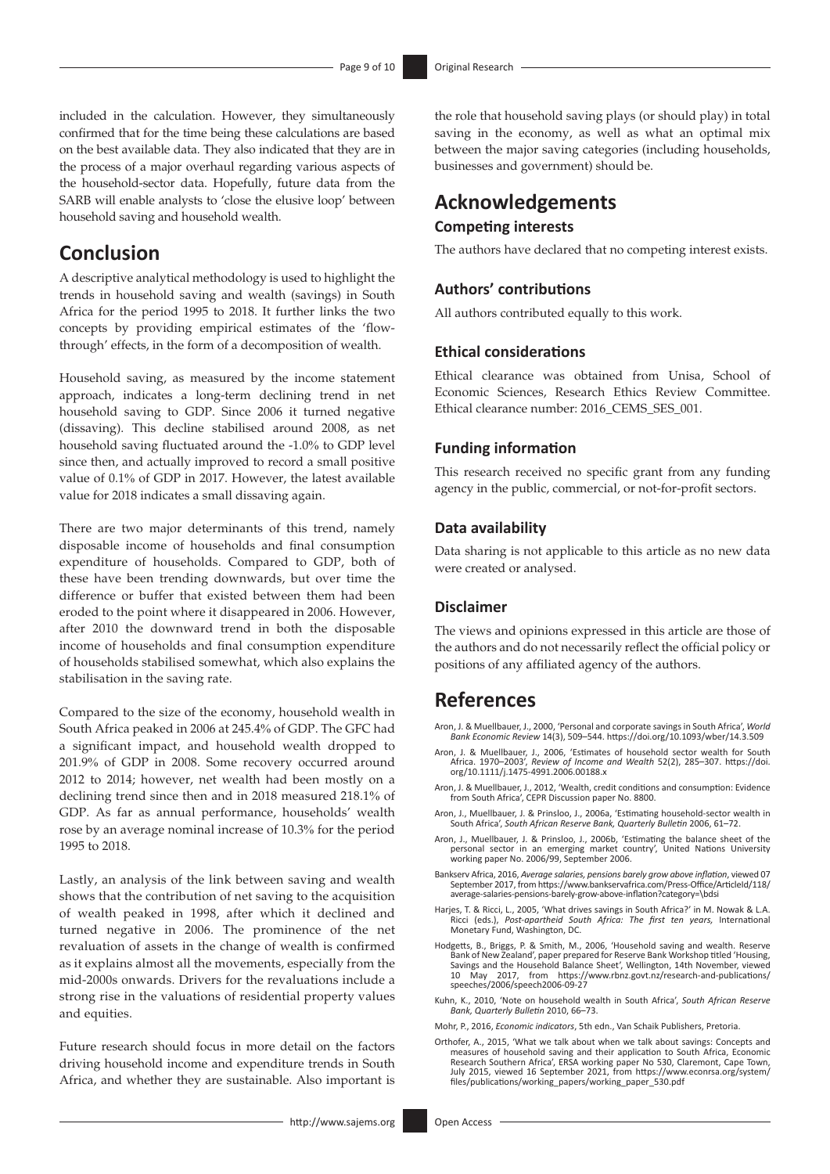included in the calculation. However, they simultaneously confirmed that for the time being these calculations are based on the best available data. They also indicated that they are in the process of a major overhaul regarding various aspects of the household-sector data. Hopefully, future data from the SARB will enable analysts to 'close the elusive loop' between household saving and household wealth.

## **Conclusion**

A descriptive analytical methodology is used to highlight the trends in household saving and wealth (savings) in South Africa for the period 1995 to 2018. It further links the two concepts by providing empirical estimates of the 'flowthrough' effects, in the form of a decomposition of wealth.

Household saving, as measured by the income statement approach, indicates a long-term declining trend in net household saving to GDP. Since 2006 it turned negative (dissaving). This decline stabilised around 2008, as net household saving fluctuated around the -1.0% to GDP level since then, and actually improved to record a small positive value of 0.1% of GDP in 2017. However, the latest available value for 2018 indicates a small dissaving again.

There are two major determinants of this trend, namely disposable income of households and final consumption expenditure of households. Compared to GDP, both of these have been trending downwards, but over time the difference or buffer that existed between them had been eroded to the point where it disappeared in 2006. However, after 2010 the downward trend in both the disposable income of households and final consumption expenditure of households stabilised somewhat, which also explains the stabilisation in the saving rate.

Compared to the size of the economy, household wealth in South Africa peaked in 2006 at 245.4% of GDP. The GFC had a significant impact, and household wealth dropped to 201.9% of GDP in 2008. Some recovery occurred around 2012 to 2014; however, net wealth had been mostly on a declining trend since then and in 2018 measured 218.1% of GDP. As far as annual performance, households' wealth rose by an average nominal increase of 10.3% for the period 1995 to 2018.

Lastly, an analysis of the link between saving and wealth shows that the contribution of net saving to the acquisition of wealth peaked in 1998, after which it declined and turned negative in 2006. The prominence of the net revaluation of assets in the change of wealth is confirmed as it explains almost all the movements, especially from the mid-2000s onwards. Drivers for the revaluations include a strong rise in the valuations of residential property values and equities.

Future research should focus in more detail on the factors driving household income and expenditure trends in South Africa, and whether they are sustainable. Also important is

the role that household saving plays (or should play) in total saving in the economy, as well as what an optimal mix between the major saving categories (including households, businesses and government) should be.

## **Acknowledgements Competing interests**

The authors have declared that no competing interest exists.

#### **Authors' contributions**

All authors contributed equally to this work.

## **Ethical considerations**

Ethical clearance was obtained from Unisa, School of Economic Sciences, Research Ethics Review Committee. Ethical clearance number: 2016 CEMS SES 001.

### **Funding information**

This research received no specific grant from any funding agency in the public, commercial, or not-for-profit sectors.

#### **Data availability**

Data sharing is not applicable to this article as no new data were created or analysed.

#### **Disclaimer**

The views and opinions expressed in this article are those of the authors and do not necessarily reflect the official policy or positions of any affiliated agency of the authors.

## **References**

- Aron, J. & Muellbauer, J., 2000, 'Personal and corporate savings in South Africa', *World Bank Economic Review* 14(3), 509–544.<https://doi.org/10.1093/wber/14.3.509>
- Aron, J. & Muellbauer, J., 2006, 'Estimates of household sector wealth for South Africa. 1970–2003', *Review of Income and Wealth* 52(2), 285–307. [https://doi.](https://doi.org/10.1111/j.1475-4991.2006.00188.x) [org/10.1111/j.1475-4991.2006.00188.x](https://doi.org/10.1111/j.1475-4991.2006.00188.x)
- Aron, J. & Muellbauer, J., 2012, 'Wealth, credit conditions and consumption: Evidence from South Africa', CEPR Discussion paper No. 8800.
- Aron, J., Muellbauer, J. & Prinsloo, J., 2006a, 'Estimating household-sector wealth in South Africa', *South African Reserve Bank, Quarterly Bulletin* 2006, 61–72.
- Aron, J., Muellbauer, J. & Prinsloo, J., 2006b, 'Estimating the balance sheet of the personal sector in an emerging market country', United Nations University working paper No. 2006/99, September 2006.
- Bankserv Africa, 2016, *Average salaries, pensions barely grow above inflation*, viewed 07 September 2017, from [https://www.bankservafrica.com/Press-Office/ArticleId/118/](https://www.bankservafrica.com/Press-Office/ArticleId/118/average-salaries-pensions-barely-grow-above-inflation?category=\bdsi) [average-salaries-pensions-barely-grow-above-inflation?category=\bdsi](https://www.bankservafrica.com/Press-Office/ArticleId/118/average-salaries-pensions-barely-grow-above-inflation?category=\bdsi)
- Harjes, T. & Ricci, L., 2005, 'What drives savings in South Africa?' in M. Nowak & L.A. Ricci (eds.), *Post-apartheid South Africa: The first ten years,* International Monetary Fund, Washington, DC.
- Hodgetts, B., Briggs, P. & Smith, M., 2006, 'Household saving and wealth. Reserve Bank of New Zealand', paper prepared for Reserve Bank Workshop titled 'Housing, Savings and the Household Balance Sheet', Wellington, 14th November, viewed<br>10 May 2017, from https://www.rbnz.govt.nz/research-and-publications/ 10 May 2017, from [https://www.rbnz.govt.nz/research-and-publications/](https://www.rbnz.govt.nz/research-and-publications/speeches/2006/speech2006-09-27) [speeches/2006/speech2006-09-27](https://www.rbnz.govt.nz/research-and-publications/speeches/2006/speech2006-09-27)
- Kuhn, K., 2010, 'Note on household wealth in South Africa', *South African Reserve Bank, Quarterly Bulletin* 2010, 66–73.
- Mohr, P., 2016, *Economic indicators*, 5th edn., Van Schaik Publishers, Pretoria.
- Orthofer, A., 2015, 'What we talk about when we talk about savings: Concepts and measures of household saving and their application to South Africa, Economic<br>Research Southern Africa', ERSA working paper No 530, Claremont, Cape Town,<br>July 2015, viewed 16 September 2021, from https://www.econrsa.org/sys [files/publications/working\\_papers/working\\_paper\\_530.pdf](https://www.econrsa.org/system/files/publications/working_papers/working_paper_530.pdf)